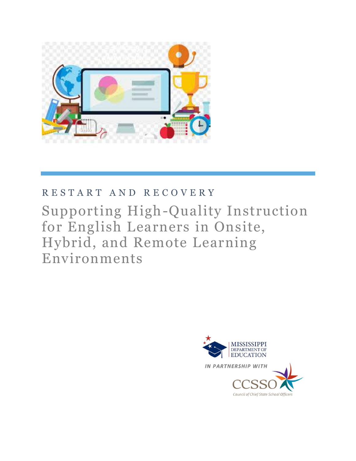

# R E S T A R T A N D R E C O V E R Y

# Supporting High-Quality Instruction for English Learners in Onsite, Hybrid, and Remote Learning Environments

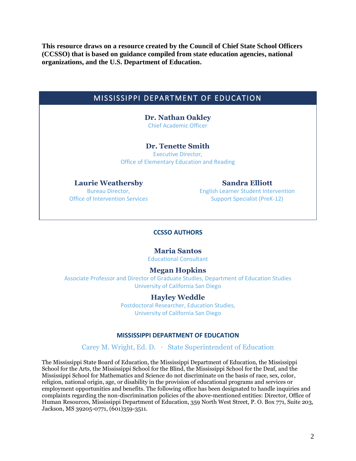**This resource draws on a resource created by the Council of Chief State School Officers (CCSSO) that is based on guidance compiled from state education agencies, national organizations, and the U.S. Department of Education.**

# MISSISSIPPI DEPARTMENT OF EDUCATION

**Dr. Nathan Oakley** Chief Academic Officer

#### **Dr. Tenette Smith**

Executive Director, Office of Elementary Education and Reading

#### **Laurie Weathersby**

Bureau Director, Office of Intervention Services

**Sandra Elliott** English Learner Student Intervention

Support Specialist (PreK-12)

#### **CCSSO AUTHORS**

#### **Maria Santos**

Educational Consultant

#### **Megan Hopkins**

Associate Professor and Director of Graduate Studies, Department of Education Studies University of California San Diego

#### **Hayley Weddle**

Postdoctoral Researcher, Education Studies, University of California San Diego

#### **MISSISSIPPI DEPARTMENT OF EDUCATION**

Carey M. Wright, Ed. D. ∙ State Superintendent of Education

The Mississippi State Board of Education, the Mississippi Department of Education, the Mississippi School for the Arts, the Mississippi School for the Blind, the Mississippi School for the Deaf, and the Mississippi School for Mathematics and Science do not discriminate on the basis of race, sex, color, religion, national origin, age, or disability in the provision of educational programs and services or employment opportunities and benefits. The following office has been designated to handle inquiries and complaints regarding the non-discrimination policies of the above-mentioned entities: Director, Office of Human Resources, Mississippi Department of Education, 359 North West Street, P. O. Box 771, Suite 203, Jackson, MS 39205-0771, (601)359-3511.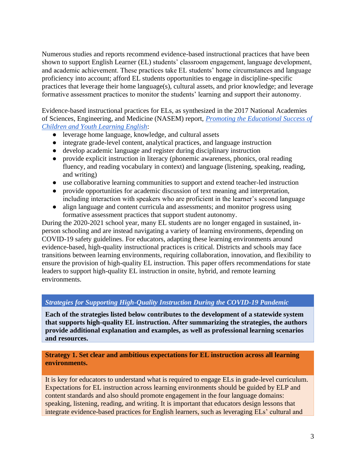Numerous studies and reports recommend evidence-based instructional practices that have been shown to support English Learner (EL) students' classroom engagement, language development, and academic achievement. These practices take EL students' home circumstances and language proficiency into account; afford EL students opportunities to engage in discipline-specific practices that leverage their home language(s), cultural assets, and prior knowledge; and leverage formative assessment practices to monitor the students' learning and support their autonomy.

Evidence-based instructional practices for ELs, as synthesized in the 2017 National Academies of Sciences, Engineering, and Medicine (NASEM) report, *[Promoting the Educational Success of](https://www.nap.edu/catalog/24677/promoting-the-educational-success-of-children-and-youth-learning-english)  [Children and Youth Learning English](https://www.nap.edu/catalog/24677/promoting-the-educational-success-of-children-and-youth-learning-english)*:

- leverage home language, knowledge, and cultural assets
- integrate grade-level content, analytical practices, and language instruction
- develop academic language and register during disciplinary instruction
- provide explicit instruction in literacy (phonemic awareness, phonics, oral reading fluency, and reading vocabulary in context) and language (listening, speaking, reading, and writing)
- use collaborative learning communities to support and extend teacher-led instruction
- provide opportunities for academic discussion of text meaning and interpretation, including interaction with speakers who are proficient in the learner's second language
- align language and content curricula and assessments; and monitor progress using formative assessment practices that support student autonomy.

During the 2020-2021 school year, many EL students are no longer engaged in sustained, inperson schooling and are instead navigating a variety of learning environments, depending on COVID-19 safety guidelines. For educators, adapting these learning environments around evidence-based, high-quality instructional practices is critical. Districts and schools may face transitions between learning environments, requiring collaboration, innovation, and flexibility to ensure the provision of high-quality EL instruction. This paper offers recommendations for state leaders to support high-quality EL instruction in onsite, hybrid, and remote learning environments.

#### *Strategies for Supporting High-Quality Instruction During the COVID-19 Pandemic*

**Each of the strategies listed below contributes to the development of a statewide system that supports high-quality EL instruction. After summarizing the strategies, the authors provide additional explanation and examples, as well as professional learning scenarios and resources.**

#### **Strategy 1. Set clear and ambitious expectations for EL instruction across all learning environments.**

It is key for educators to understand what is required to engage ELs in grade-level curriculum. Expectations for EL instruction across learning environments should be guided by ELP and content standards and also should promote engagement in the four language domains: speaking, listening, reading, and writing. It is important that educators design lessons that integrate evidence-based practices for English learners, such as leveraging ELs' cultural and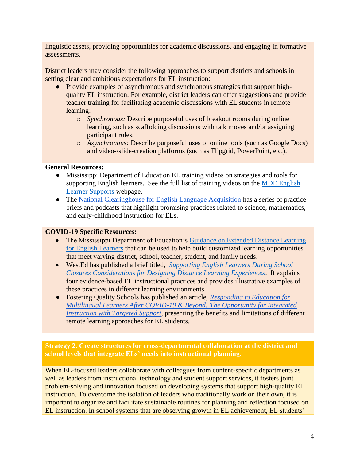linguistic assets, providing opportunities for academic discussions, and engaging in formative assessments.

District leaders may consider the following approaches to support districts and schools in setting clear and ambitious expectations for EL instruction:

- Provide examples of asynchronous and synchronous strategies that support highquality EL instruction. For example, district leaders can offer suggestions and provide teacher training for facilitating academic discussions with EL students in remote learning:
	- o *Synchronous:* Describe purposeful uses of breakout rooms during online learning, such as scaffolding discussions with talk moves and/or assigning participant roles.
	- o *Asynchronous:* Describe purposeful uses of online tools (such as Google Docs) and video-/slide-creation platforms (such as Flipgrid, PowerPoint, etc.).

#### **General Resources:**

- Mississippi Department of Education EL training videos on strategies and tools for supporting English learners. See the full list of training videos on the [MDE English](https://www.mdek12.org/EL)  [Learner Supports](https://www.mdek12.org/EL) webpage.
- The [National Clearinghouse for English Language Acquisition](https://ncela.ed.gov/teacher-resources) has a series of practice briefs and podcasts that highlight promising practices related to science, mathematics, and early-childhood instruction for ELs.

## **COVID-19 Specific Resources:**

- The Mississippi Department of Education's [Guidance on Extended Distance Learning](https://www.mdek12.org/sites/default/files/Offices/MDE/OAE/OEER/EL/guidance_on_extended_distance_learning_for_english_learners.pdf)  [for English Learners](https://www.mdek12.org/sites/default/files/Offices/MDE/OAE/OEER/EL/guidance_on_extended_distance_learning_for_english_learners.pdf) that can be used to help build customized learning opportunities that meet varying district, school, teacher, student, and family needs.
- WestEd has published a brief titled, *[Supporting English Learners During School](https://www.wested.org/resources/supporting-english-learners-during-school-closures/)  [Closures Considerations for Designing Distance Learning Experiences](https://www.wested.org/resources/supporting-english-learners-during-school-closures/)*. It explains four evidence-based EL instructional practices and provides illustrative examples of these practices in different learning environments.
- Fostering Quality Schools has published an article, *[Responding to Education for](https://www.fosteringqualityschools.com/wp-content/uploads/2020/06/FQS-Responding-to-Education-for-Multilingual-Learners-After-COVID-19-Beyond_-The-Opportunity-for-Integrated-Instruction-With-Targeted-Support-ML-6-1-2020-cover.pdf)  [Multilingual Learners After COVID-19 & Beyond: The Opportunity for Integrated](https://www.fosteringqualityschools.com/wp-content/uploads/2020/06/FQS-Responding-to-Education-for-Multilingual-Learners-After-COVID-19-Beyond_-The-Opportunity-for-Integrated-Instruction-With-Targeted-Support-ML-6-1-2020-cover.pdf)  [Instruction with Targeted Support,](https://www.fosteringqualityschools.com/wp-content/uploads/2020/06/FQS-Responding-to-Education-for-Multilingual-Learners-After-COVID-19-Beyond_-The-Opportunity-for-Integrated-Instruction-With-Targeted-Support-ML-6-1-2020-cover.pdf)* presenting the benefits and limitations of different remote learning approaches for EL students.

**Strategy 2. Create structures for cross-departmental collaboration at the district and school levels that integrate ELs' needs into instructional planning.** 

When EL-focused leaders collaborate with colleagues from content-specific departments as well as leaders from instructional technology and student support services, it fosters joint problem-solving and innovation focused on developing systems that support high-quality EL instruction. To overcome the isolation of leaders who traditionally work on their own, it is important to organize and facilitate sustainable routines for planning and reflection focused on EL instruction. In school systems that are observing growth in EL achievement, EL students'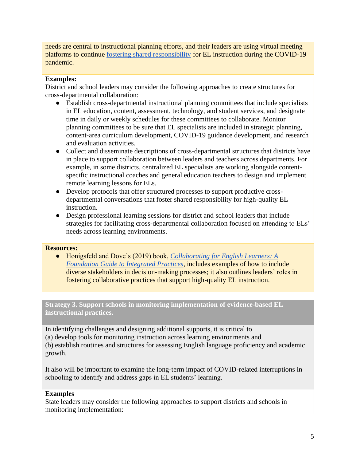needs are central to instructional planning efforts, and their leaders are using virtual meeting platforms to continue [fostering shared responsibility](https://ccssoorg-my.sharepoint.com/:w:/r/personal/olympia_meola_ccsso_org/_layouts/15/Doc.aspx?sourcedoc=%7BAA9588F2-EBAA-42F8-84AB-E64B50916C91%7D&file=Fostering%20Shared%20Responsibility%20for%20English%20Learner%20Education.docx&action=default&mobileredirect=true) for EL instruction during the COVID-19 pandemic.

## **Examples:**

District and school leaders may consider the following approaches to create structures for cross-departmental collaboration:

- Establish cross-departmental instructional planning committees that include specialists in EL education, content, assessment, technology, and student services, and designate time in daily or weekly schedules for these committees to collaborate. Monitor planning committees to be sure that EL specialists are included in strategic planning, content-area curriculum development, COVID-19 guidance development, and research and evaluation activities.
- Collect and disseminate descriptions of cross-departmental structures that districts have in place to support collaboration between leaders and teachers across departments. For example, in some districts, centralized EL specialists are working alongside contentspecific instructional coaches and general education teachers to design and implement remote learning lessons for ELs.
- Develop protocols that offer structured processes to support productive crossdepartmental conversations that foster shared responsibility for high-quality EL instruction.
- Design professional learning sessions for district and school leaders that include strategies for facilitating cross-departmental collaboration focused on attending to ELs' needs across learning environments.

#### **Resources:**

● Honigsfeld and Dove's (2019) book, *[Collaborating for English Learners: A](https://us.corwin.com/en-us/nam/collaborating-for-english-learners/book261045)  [Foundation Guide to Integrated Practices](https://us.corwin.com/en-us/nam/collaborating-for-english-learners/book261045)*, includes examples of how to include diverse stakeholders in decision-making processes; it also outlines leaders' roles in fostering collaborative practices that support high-quality EL instruction.

**Strategy 3. Support schools in monitoring implementation of evidence-based EL instructional practices.** 

In identifying challenges and designing additional supports, it is critical to (a) develop tools for monitoring instruction across learning environments and (b) establish routines and structures for assessing English language proficiency and academic growth.

It also will be important to examine the long-term impact of COVID-related interruptions in schooling to identify and address gaps in EL students' learning.

#### **Examples**

State leaders may consider the following approaches to support districts and schools in monitoring implementation: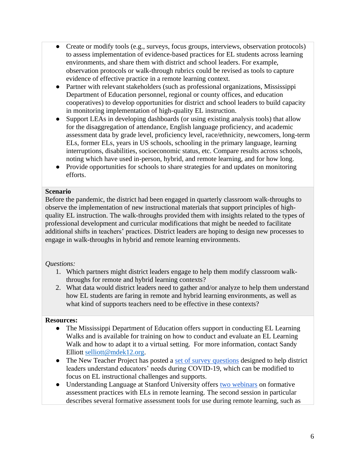- Create or modify tools (e.g., surveys, focus groups, interviews, observation protocols) to assess implementation of evidence-based practices for EL students across learning environments, and share them with district and school leaders. For example, observation protocols or walk-through rubrics could be revised as tools to capture evidence of effective practice in a remote learning context.
- Partner with relevant stakeholders (such as professional organizations, Mississippi Department of Education personnel, regional or county offices, and education cooperatives) to develop opportunities for district and school leaders to build capacity in monitoring implementation of high-quality EL instruction.
- Support LEAs in developing dashboards (or using existing analysis tools) that allow for the disaggregation of attendance, English language proficiency, and academic assessment data by grade level, proficiency level, race/ethnicity, newcomers, long-term ELs, former ELs, years in US schools, schooling in the primary language, learning interruptions, disabilities, socioeconomic status, etc. Compare results across schools, noting which have used in-person, hybrid, and remote learning, and for how long.
- Provide opportunities for schools to share strategies for and updates on monitoring efforts.

#### **Scenario**

Before the pandemic, the district had been engaged in quarterly classroom walk-throughs to observe the implementation of new instructional materials that support principles of highquality EL instruction. The walk-throughs provided them with insights related to the types of professional development and curricular modifications that might be needed to facilitate additional shifts in teachers' practices. District leaders are hoping to design new processes to engage in walk-throughs in hybrid and remote learning environments.

# *Questions:*

- 1. Which partners might district leaders engage to help them modify classroom walkthroughs for remote and hybrid learning contexts?
- 2. What data would district leaders need to gather and/or analyze to help them understand how EL students are faring in remote and hybrid learning environments, as well as what kind of supports teachers need to be effective in these contexts?

#### **Resources:**

- The Mississippi Department of Education offers support in conducting EL Learning Walks and is available for training on how to conduct and evaluate an EL Learning Walk and how to adapt it to a virtual setting. For more information, contact Sandy Elliott [selliott@mdek12.org.](mailto:selliott@mdek12.org)
- The New Teacher Project has posted a [set of survey questions](https://tntp.org/assets/set-resources/TNTP_COVID-19_Support_Survey_Item_Bank_2019-20.pdf) designed to help district leaders understand educators' needs during COVID-19, which can be modified to focus on EL instructional challenges and supports.
- Understanding Language at Stanford University offers [two webinars](https://ell.stanford.edu/content/FA-process-remote-learning-webinars) on formative assessment practices with ELs in remote learning. The second session in particular describes several formative assessment tools for use during remote learning, such as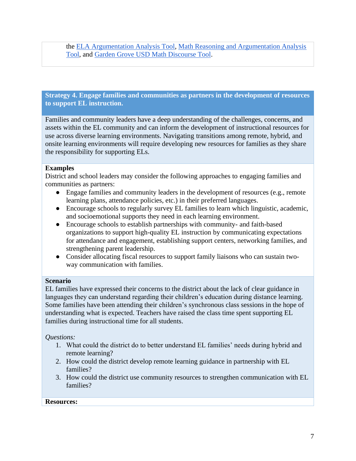the [ELA Argumentation Analysis Tool,](https://stanford.box.com/s/g5dqpnp4ao2fanugowtsi0gpkuomm7ke) [Math Reasoning and Argumentation Analysis](https://stanford.box.com/s/ay2snag20xb2u0rvxn30m4to563vsalt)  [Tool,](https://stanford.box.com/s/ay2snag20xb2u0rvxn30m4to563vsalt) and [Garden Grove USD Math Discourse Tool.](https://stanford.box.com/s/91ls1foavwy4xq7rr4ss7ezd2rvvjca5)

**Strategy 4. Engage families and communities as partners in the development of resources to support EL instruction.** 

Families and community leaders have a deep understanding of the challenges, concerns, and assets within the EL community and can inform the development of instructional resources for use across diverse learning environments. Navigating transitions among remote, hybrid, and onsite learning environments will require developing new resources for families as they share the responsibility for supporting ELs.

#### **Examples**

District and school leaders may consider the following approaches to engaging families and communities as partners:

- Engage families and community leaders in the development of resources (e.g., remote learning plans, attendance policies, etc.) in their preferred languages.
- Encourage schools to regularly survey EL families to learn which linguistic, academic, and socioemotional supports they need in each learning environment.
- Encourage schools to establish partnerships with community- and faith-based organizations to support high-quality EL instruction by communicating expectations for attendance and engagement, establishing support centers, networking families, and strengthening parent leadership.
- Consider allocating fiscal resources to support family liaisons who can sustain twoway communication with families.

#### **Scenario**

EL families have expressed their concerns to the district about the lack of clear guidance in languages they can understand regarding their children's education during distance learning. Some families have been attending their children's synchronous class sessions in the hope of understanding what is expected. Teachers have raised the class time spent supporting EL families during instructional time for all students.

#### *Questions:*

- 1. What could the district do to better understand EL families' needs during hybrid and remote learning?
- 2. How could the district develop remote learning guidance in partnership with EL families?
- 3. How could the district use community resources to strengthen communication with EL families?

#### **Resources:**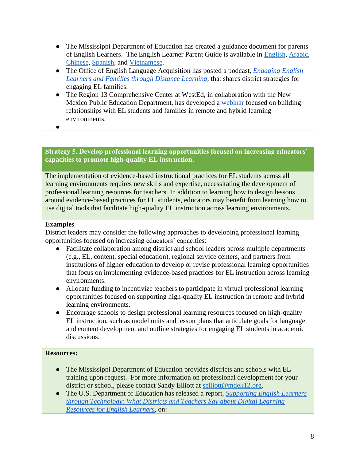- The Mississippi Department of Education has created a guidance document for parents of English Learners. The English Learner Parent Guide is available in [English,](https://www.mdek12.org/sites/default/files/Offices/MDE/OAE/OEER/EL/el_parent_guide_pages.pdf) [Arabic,](https://www.mdek12.org/sites/default/files/Offices/MDE/OAE/OEER/EL/ara_nnnn_el_parent_guide.pdf) [Chinese,](https://www.mdek12.org/sites/default/files/Offices/MDE/OAE/OEER/EL/chi_el_parent_guide.pdf) [Spanish,](https://www.mdek12.org/sites/default/files/Offices/MDE/OAE/OEER/EL/mex_casa_rigo_el_parent_guide.pdf) and [Vietnamese.](https://www.mdek12.org/sites/default/files/Offices/MDE/OAE/OEER/EL/vie_el_parent_guide_letter.pdf)
- The Office of English Language Acquisition has posted a podcast, *[Engaging English](https://soundcloud.com/ed_oela/engaging-english-learners-and-families-through-distance-learning/recommended)  [Learners and Families through Distance Learning,](https://soundcloud.com/ed_oela/engaging-english-learners-and-families-through-distance-learning/recommended)* that shares district strategies for engaging EL families.
- The [Region 13 Comprehensive Center at WestEd,](https://www.compcenternetwork.org/meet-centers) in collaboration with the New Mexico Public Education Department, has developed a [webinar](https://www.wested.org/resources/starting-the-school-year-in-a-blended-distance-learning-setting/) focused on building relationships with EL students and families in remote and hybrid learning environments.
- ●

# **Strategy 5. Develop professional learning opportunities focused on increasing educators' capacities to promote high-quality EL instruction.**

The implementation of evidence-based instructional practices for EL students across all learning environments requires new skills and expertise, necessitating the development of professional learning resources for teachers. In addition to learning how to design lessons around evidence-based practices for EL students, educators may benefit from learning how to use digital tools that facilitate high-quality EL instruction across learning environments.

#### **Examples**

District leaders may consider the following approaches to developing professional learning opportunities focused on increasing educators' capacities:

- Facilitate collaboration among district and school leaders across multiple departments (e.g., EL, content, special education), regional service centers, and partners from institutions of higher education to develop or revise professional learning opportunities that focus on implementing evidence-based practices for EL instruction across learning environments.
- Allocate funding to incentivize teachers to participate in virtual professional learning opportunities focused on supporting high-quality EL instruction in remote and hybrid learning environments.
- Encourage schools to design professional learning resources focused on high-quality EL instruction, such as model units and lesson plans that articulate goals for language and content development and outline strategies for engaging EL students in academic discussions.

# **Resources:**

- The Mississippi Department of Education provides districts and schools with EL training upon request. For more information on professional development for your district or school, please contact Sandy Elliott at [selliott@mdek12.org.](mailto:selliott@mdek12.org)
- The U.S. Department of Education has released a report, *[Supporting English Learners](https://www2.ed.gov/rschstat/eval/title-iii/180414.pdf)  [through Technology: What Districts and Teachers Say about Digital Learning](https://www2.ed.gov/rschstat/eval/title-iii/180414.pdf)  [Resources for English Learners](https://www2.ed.gov/rschstat/eval/title-iii/180414.pdf)*, on: